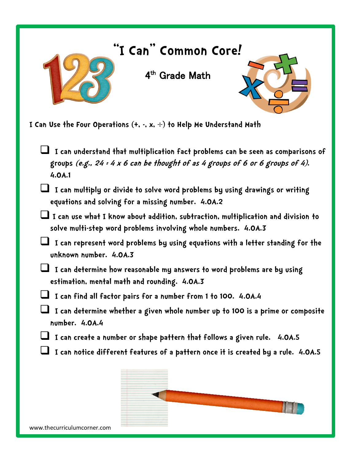

**I Can Use the Four Operations (+, -, x, ) to Help Me Understand Math**

 **I can understand that multiplication fact problems can be seen as comparisons of groups (e.g., 24 = 4 x 6 can be thought of as 4 groups of 6 or 6 groups of 4). 4.OA.1**

 **I can multiply or divide to solve word problems by using drawings or writing equations and solving for a missing number. 4.OA.2**

 **I can use what I know about addition, subtraction, multiplication and division to solve multi-step word problems involving whole numbers. 4.OA.3**

 **I can represent word problems by using equations with a letter standing for the unknown number. 4.OA.3**

 **I can determine how reasonable my answers to word problems are by using estimation, mental math and rounding. 4.OA.3**

**I can find all factor pairs for a number from 1 to 100. 4.OA.4**

 **I can determine whether a given whole number up to 100 is a prime or composite number. 4.OA.4**

- **I can create a number or shape pattern that follows a given rule. 4.OA.5**
- **I can notice different features of a pattern once it is created by a rule. 4.OA.5**



www.thecurriculumcorner.com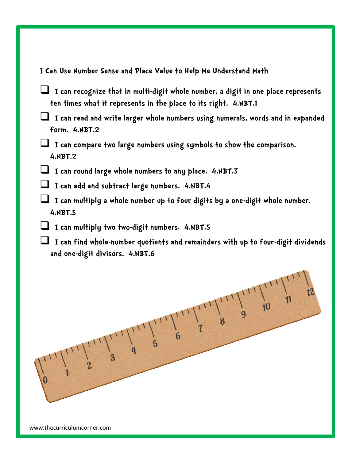## **I Can Use Number Sense and Place Value to Help Me Understand Math**

- **I can recognize that in multi-digit whole number, a digit in one place represents ten times what it represents in the place to its right. 4.NBT.1**
- **I can read and write larger whole numbers using numerals, words and in expanded form. 4.NBT.2**
- **I can compare two large numbers using symbols to show the comparison. 4.NBT.2**
- **I can round large whole numbers to any place. 4.NBT.3**
- **I can add and subtract large numbers. 4.NBT.4**
- **I can multiply a whole number up to four digits by a one-digit whole number. 4.NBT.5**
- **I can multiply two two-digit numbers. 4.NBT.5**
- **I can find whole-number quotients and remainders with up to four-digit dividends and one-digit divisors. 4.NBT.6**

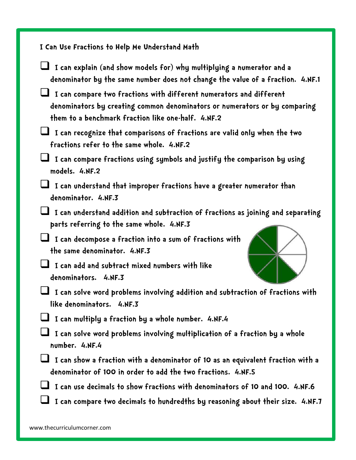**I Can Use Fractions to Help Me Understand Math I can explain (and show models for) why multiplying a numerator and a denominator by the same number does not change the value of a fraction. 4.NF.1 I can compare two fractions with different numerators and different denominators by creating common denominators or numerators or by comparing them to a benchmark fraction like one-half. 4.NF.2 I can recognize that comparisons of fractions are valid only when the two fractions refer to the same whole. 4.NF.2 I can compare fractions using symbols and justify the comparison by using models. 4.NF.2 I can understand that improper fractions have a greater numerator than denominator. 4.NF.3 I can understand addition and subtraction of fractions as joining and separating parts referring to the same whole. 4.NF.3 I can decompose a fraction into a sum of fractions with the same denominator. 4.NF.3 I can add and subtract mixed numbers with like denominators. 4.NF.3 I can solve word problems involving addition and subtraction of fractions with like denominators. 4.NF.3 I can multiply a fraction by a whole number. 4.NF.4 I can solve word problems involving multiplication of a fraction by a whole number. 4.NF.4 I can show a fraction with a denominator of 10 as an equivalent fraction with a denominator of 100 in order to add the two fractions. 4.NF.5 I can use decimals to show fractions with denominators of 10 and 100. 4.NF.6 I can compare two decimals to hundredths by reasoning about their size. 4.NF.7**